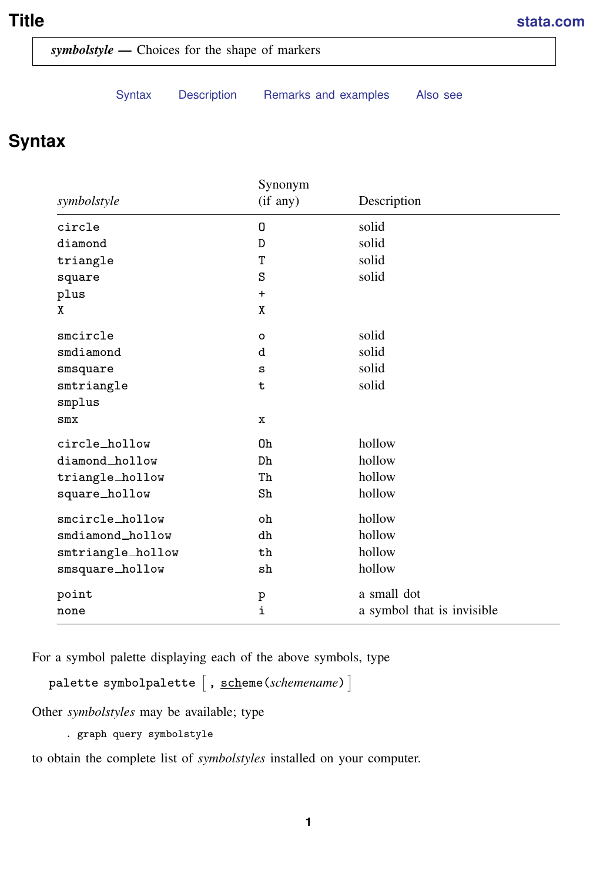## <span id="page-0-1"></span>**Title [stata.com](http://stata.com)**

*symbolstyle —* Choices for the shape of markers

[Syntax](#page-0-0) [Description](#page-1-0) [Remarks and examples](#page-1-1) [Also see](#page-3-0)

# <span id="page-0-0"></span>**Syntax**

|                   | Synonym     |                            |
|-------------------|-------------|----------------------------|
| symbolstyle       | (if any)    | Description                |
| circle            | 0           | solid                      |
| diamond           | D           | solid                      |
| triangle          | T           | solid                      |
| square            | S           | solid                      |
| plus              | $\ddot{}$   |                            |
| X                 | X           |                            |
| smcircle          | $\circ$     | solid                      |
| smdiamond         | d           | solid                      |
| smsquare          | S           | solid                      |
| smtriangle        | $\mathbf t$ | solid                      |
| smplus            |             |                            |
| $smx$             | $\mathbf x$ |                            |
| circle_hollow     | 0h          | hollow                     |
| diamond_hollow    | Dh          | hollow                     |
| triangle_hollow   | Th          | hollow                     |
| square_hollow     | Sh          | hollow                     |
| smcircle_hollow   | oh          | hollow                     |
| smdiamond_hollow  | dh          | hollow                     |
| smtriangle_hollow | th          | hollow                     |
| smsquare_hollow   | sh          | hollow                     |
| point             | p           | a small dot                |
| none              | i           | a symbol that is invisible |

For a symbol palette displaying each of the above symbols, type

palette symbolpalette  $\left[\right., \underline{\textrm{scheme}}(scheme) \left.\right]$ 

Other *symbolstyles* may be available; type

. graph query symbolstyle

to obtain the complete list of *symbolstyles* installed on your computer.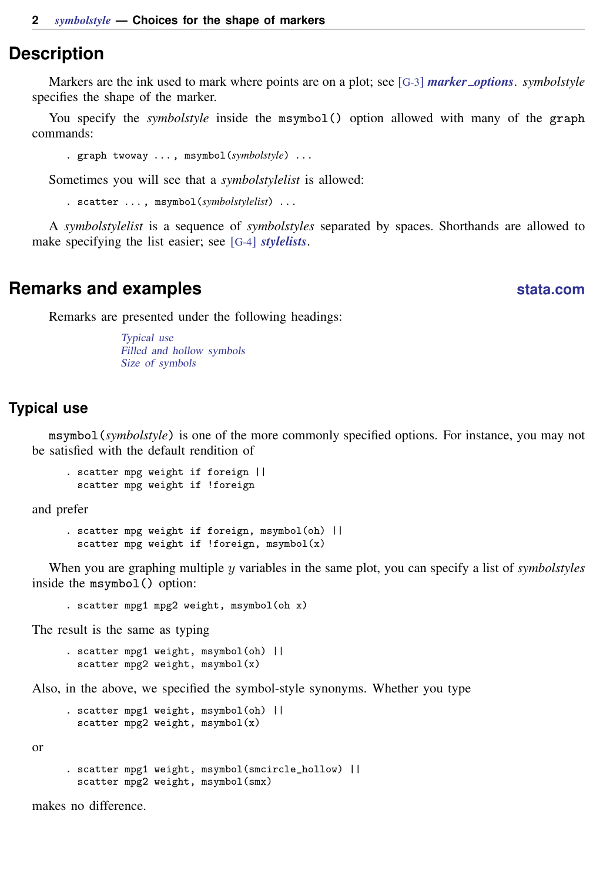### <span id="page-1-0"></span>**Description**

Markers are the ink used to mark where points are on a plot; see [G-3] *marker [options](http://www.stata.com/manuals13/g-3marker_options.pdf#g-3marker_options)*. *symbolstyle* specifies the shape of the marker.

You specify the *symbolstyle* inside the msymbol() option allowed with many of the graph commands:

. graph twoway . . . , msymbol(*symbolstyle*) . . .

Sometimes you will see that a *symbolstylelist* is allowed:

. scatter . . . , msymbol(*symbolstylelist*) . . .

<span id="page-1-1"></span>A *symbolstylelist* is a sequence of *symbolstyles* separated by spaces. Shorthands are allowed to make specifying the list easier; see [G-4] *[stylelists](http://www.stata.com/manuals13/g-4stylelists.pdf#g-4stylelists)*.

## **Remarks and examples [stata.com](http://stata.com)**

Remarks are presented under the following headings:

[Typical use](#page-1-2) [Filled and hollow symbols](#page-2-0) [Size of symbols](#page-2-1)

### <span id="page-1-2"></span>**Typical use**

msymbol(*symbolstyle*) is one of the more commonly specified options. For instance, you may not be satisfied with the default rendition of

```
. scatter mpg weight if foreign ||
 scatter mpg weight if !foreign
```
and prefer

```
. scatter mpg weight if foreign, msymbol(oh) ||
 scatter mpg weight if !foreign, msynbol(x)
```
When you are graphing multiple y variables in the same plot, you can specify a list of *symbolstyles* inside the msymbol() option:

. scatter mpg1 mpg2 weight, msymbol(oh x)

The result is the same as typing

. scatter mpg1 weight, msymbol(oh) || scatter mpg2 weight,  $msynbol(x)$ 

Also, in the above, we specified the symbol-style synonyms. Whether you type

```
. scatter mpg1 weight, msymbol(oh) ||
 scatter mpg2 weight, msymbol(x)
```
or

```
. scatter mpg1 weight, msymbol(smcircle_hollow) ||
 scatter mpg2 weight, msymbol(smx)
```
makes no difference.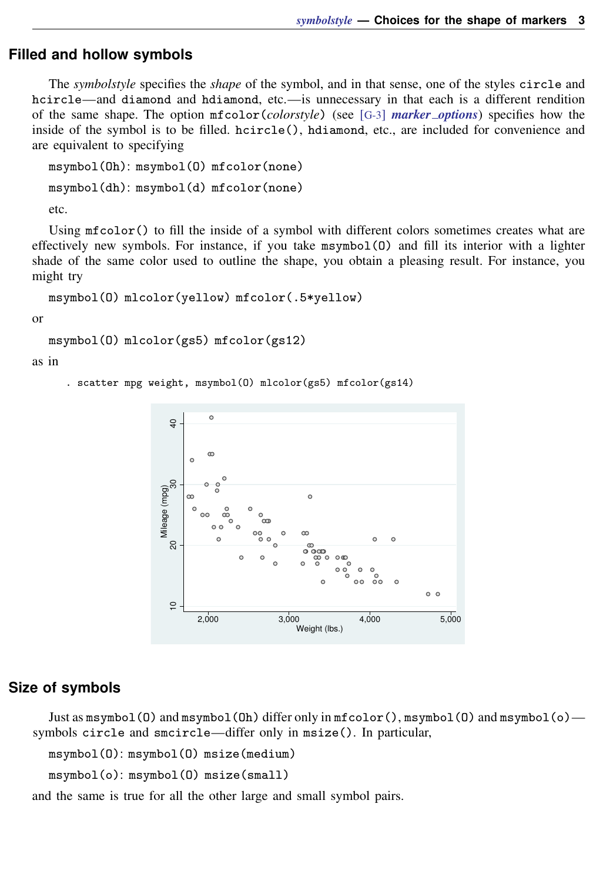### <span id="page-2-0"></span>**Filled and hollow symbols**

The *symbolstyle* specifies the *shape* of the symbol, and in that sense, one of the styles circle and hcircle—and diamond and hdiamond, etc.—is unnecessary in that each is a different rendition of the same shape. The option mfcolor(*colorstyle*) (see [G-3] *[marker](http://www.stata.com/manuals13/g-3marker_options.pdf#g-3marker_options) options*) specifies how the inside of the symbol is to be filled. hcircle(), hdiamond, etc., are included for convenience and are equivalent to specifying

```
msymbol(Oh): msymbol(O) mfcolor(none)
msymbol(dh): msymbol(d) mfcolor(none)
etc.
```
Using mfcolor() to fill the inside of a symbol with different colors sometimes creates what are effectively new symbols. For instance, if you take msymbol(O) and fill its interior with a lighter shade of the same color used to outline the shape, you obtain a pleasing result. For instance, you might try

```
msymbol(O) mlcolor(yellow) mfcolor(.5*yellow)
```
or

```
msymbol(O) mlcolor(gs5) mfcolor(gs12)
```
as in

. scatter mpg weight, msymbol(O) mlcolor(gs5) mfcolor(gs14)



### <span id="page-2-1"></span>**Size of symbols**

Just as msymbol(O) and msymbol(Oh) differ only in  $m$  f color(), msymbol(O) and msymbol(o) symbols circle and smcircle—differ only in msize(). In particular,

```
msymbol(O): msymbol(O) msize(medium)
```

```
msymbol(o): msymbol(O) msize(small)
```
and the same is true for all the other large and small symbol pairs.